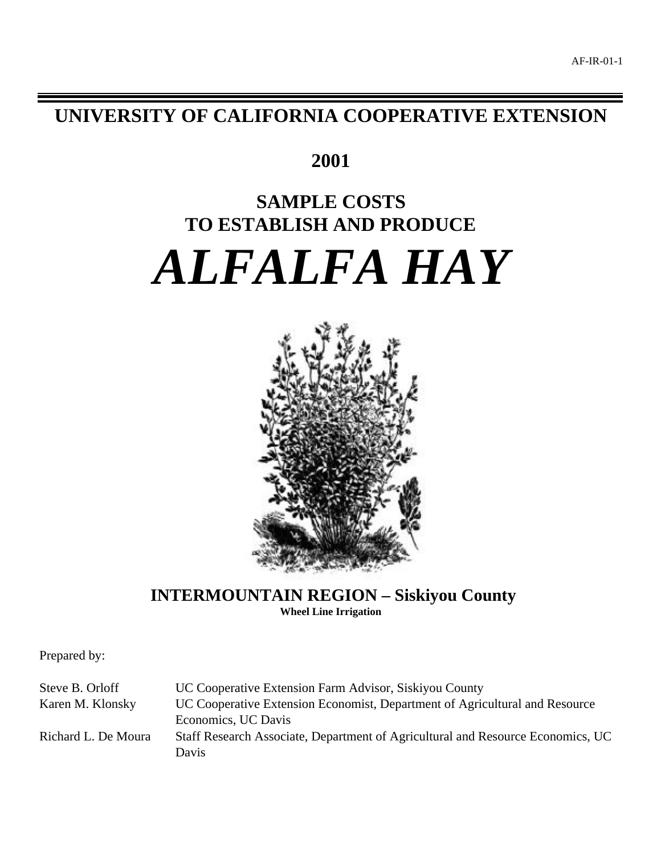**UNIVERSITY OF CALIFORNIA COOPERATIVE EXTENSION**

## **2001**

# **SAMPLE COSTS TO ESTABLISH AND PRODUCE** *ALFALFA HAY*



**INTERMOUNTAIN REGION – Siskiyou County Wheel Line Irrigation**

Prepared by:

Steve B. Orloff UC Cooperative Extension Farm Advisor, Siskiyou County Karen M. Klonsky UC Cooperative Extension Economist, Department of Agricultural and Resource Economics, UC Davis Richard L. De Moura Staff Research Associate, Department of Agricultural and Resource Economics, UC Davis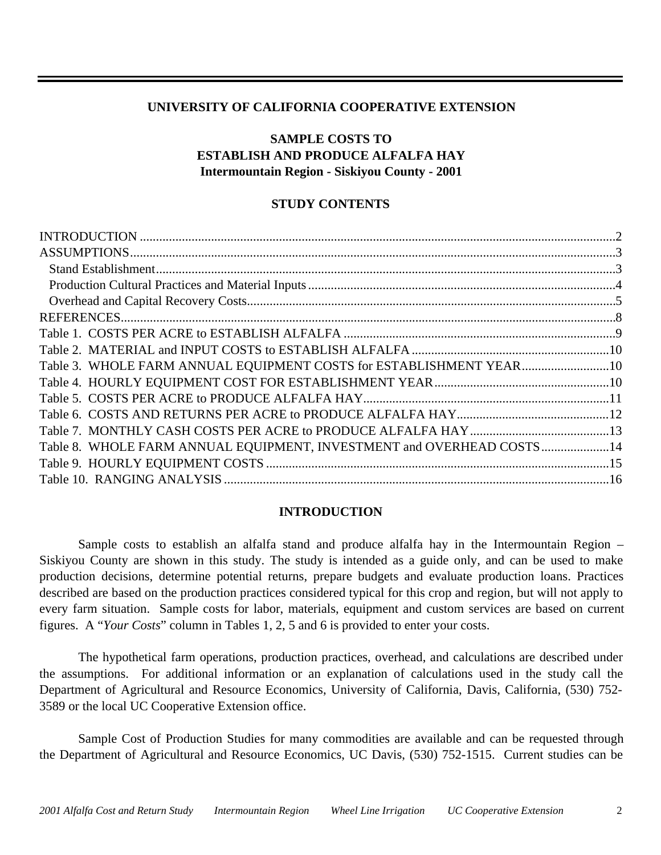## **UNIVERSITY OF CALIFORNIA COOPERATIVE EXTENSION**

## **SAMPLE COSTS TO ESTABLISH AND PRODUCE ALFALFA HAY Intermountain Region - Siskiyou County - 2001**

## **STUDY CONTENTS**

| Table 3. WHOLE FARM ANNUAL EQUIPMENT COSTS for ESTABLISHMENT YEAR10    |  |
|------------------------------------------------------------------------|--|
|                                                                        |  |
|                                                                        |  |
|                                                                        |  |
|                                                                        |  |
| Table 8. WHOLE FARM ANNUAL EQUIPMENT, INVESTMENT and OVERHEAD COSTS 14 |  |
|                                                                        |  |
|                                                                        |  |
|                                                                        |  |

#### **INTRODUCTION**

Sample costs to establish an alfalfa stand and produce alfalfa hay in the Intermountain Region – Siskiyou County are shown in this study. The study is intended as a guide only, and can be used to make production decisions, determine potential returns, prepare budgets and evaluate production loans. Practices described are based on the production practices considered typical for this crop and region, but will not apply to every farm situation. Sample costs for labor, materials, equipment and custom services are based on current figures. A "*Your Costs*" column in Tables 1, 2, 5 and 6 is provided to enter your costs.

The hypothetical farm operations, production practices, overhead, and calculations are described under the assumptions. For additional information or an explanation of calculations used in the study call the Department of Agricultural and Resource Economics, University of California, Davis, California, (530) 752- 3589 or the local UC Cooperative Extension office.

Sample Cost of Production Studies for many commodities are available and can be requested through the Department of Agricultural and Resource Economics, UC Davis, (530) 752-1515. Current studies can be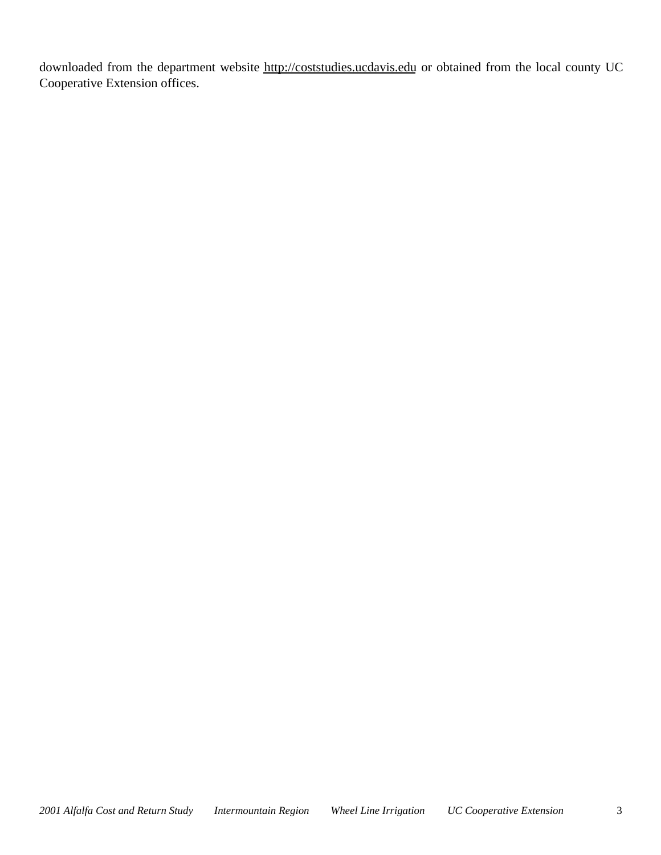downloaded from the department website http://coststudies.ucdavis.edu or obtained from the local county UC Cooperative Extension offices.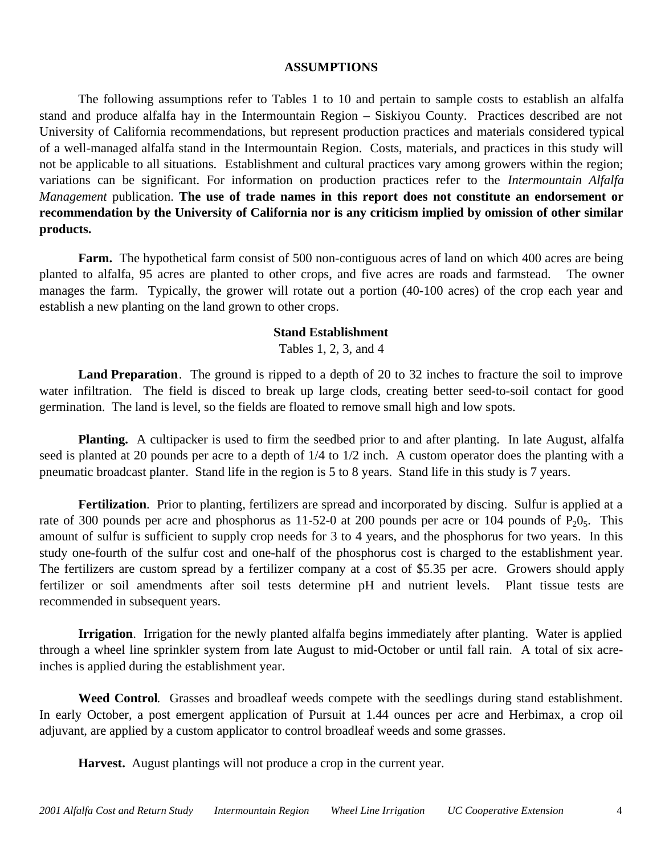#### **ASSUMPTIONS**

The following assumptions refer to Tables 1 to 10 and pertain to sample costs to establish an alfalfa stand and produce alfalfa hay in the Intermountain Region – Siskiyou County. Practices described are not University of California recommendations, but represent production practices and materials considered typical of a well-managed alfalfa stand in the Intermountain Region. Costs, materials, and practices in this study will not be applicable to all situations.Establishment and cultural practices vary among growers within the region; variations can be significant. For information on production practices refer to the *Intermountain Alfalfa Management* publication. **The use of trade names in this report does not constitute an endorsement or recommendation by the University of California nor is any criticism implied by omission of other similar products.**

**Farm.** The hypothetical farm consist of 500 non-contiguous acres of land on which 400 acres are being planted to alfalfa, 95 acres are planted to other crops, and five acres are roads and farmstead. The owner manages the farm. Typically, the grower will rotate out a portion (40-100 acres) of the crop each year and establish a new planting on the land grown to other crops.

#### **Stand Establishment**

Tables 1, 2, 3, and 4

**Land Preparation**. The ground is ripped to a depth of 20 to 32 inches to fracture the soil to improve water infiltration. The field is disced to break up large clods, creating better seed-to-soil contact for good germination. The land is level, so the fields are floated to remove small high and low spots.

**Planting.** A cultipacker is used to firm the seedbed prior to and after planting. In late August, alfalfa seed is planted at 20 pounds per acre to a depth of  $1/4$  to  $1/2$  inch. A custom operator does the planting with a pneumatic broadcast planter. Stand life in the region is 5 to 8 years. Stand life in this study is 7 years.

**Fertilization**. Prior to planting, fertilizers are spread and incorporated by discing. Sulfur is applied at a rate of 300 pounds per acre and phosphorus as 11-52-0 at 200 pounds per acre or 104 pounds of  $P_2O_5$ . This amount of sulfur is sufficient to supply crop needs for 3 to 4 years, and the phosphorus for two years. In this study one-fourth of the sulfur cost and one-half of the phosphorus cost is charged to the establishment year. The fertilizers are custom spread by a fertilizer company at a cost of \$5.35 per acre. Growers should apply fertilizer or soil amendments after soil tests determine pH and nutrient levels. Plant tissue tests are recommended in subsequent years.

**Irrigation**. Irrigation for the newly planted alfalfa begins immediately after planting. Water is applied through a wheel line sprinkler system from late August to mid-October or until fall rain. A total of six acreinches is applied during the establishment year.

**Weed Control**. Grasses and broadleaf weeds compete with the seedlings during stand establishment. In early October, a post emergent application of Pursuit at 1.44 ounces per acre and Herbimax, a crop oil adjuvant, are applied by a custom applicator to control broadleaf weeds and some grasses.

**Harvest.** August plantings will not produce a crop in the current year.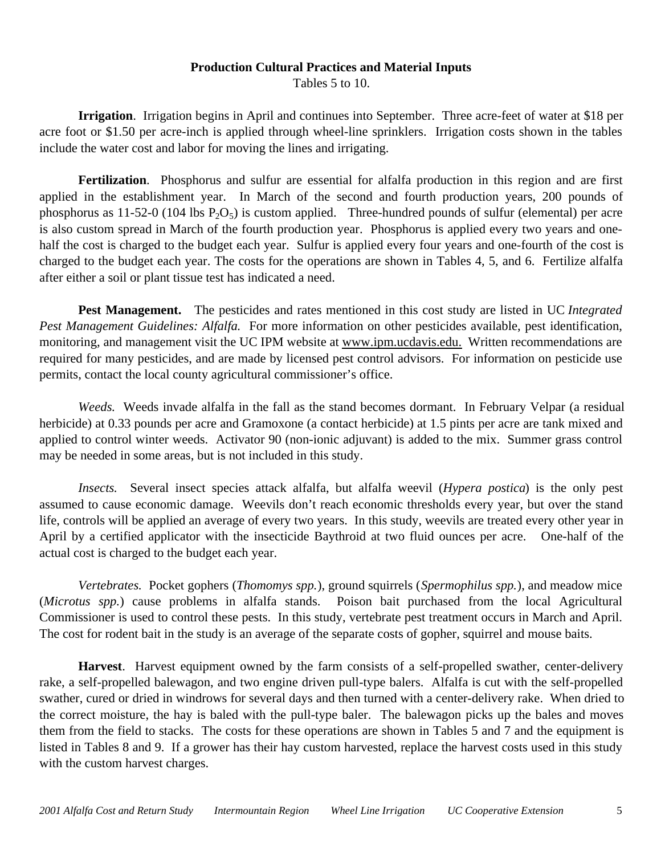### **Production Cultural Practices and Material Inputs**

Tables 5 to 10.

**Irrigation**. Irrigation begins in April and continues into September. Three acre-feet of water at \$18 per acre foot or \$1.50 per acre-inch is applied through wheel-line sprinklers. Irrigation costs shown in the tables include the water cost and labor for moving the lines and irrigating.

**Fertilization**. Phosphorus and sulfur are essential for alfalfa production in this region and are first applied in the establishment year. In March of the second and fourth production years, 200 pounds of phosphorus as 11-52-0 (104 lbs  $P_2O_5$ ) is custom applied. Three-hundred pounds of sulfur (elemental) per acre is also custom spread in March of the fourth production year. Phosphorus is applied every two years and onehalf the cost is charged to the budget each year. Sulfur is applied every four years and one-fourth of the cost is charged to the budget each year. The costs for the operations are shown in Tables 4, 5, and 6. Fertilize alfalfa after either a soil or plant tissue test has indicated a need.

**Pest Management.** The pesticides and rates mentioned in this cost study are listed in UC *Integrated Pest Management Guidelines: Alfalfa.* For more information on other pesticides available, pest identification, monitoring, and management visit the UC IPM website at www.ipm.ucdavis.edu. Written recommendations are required for many pesticides, and are made by licensed pest control advisors. For information on pesticide use permits, contact the local county agricultural commissioner's office.

*Weeds.* Weeds invade alfalfa in the fall as the stand becomes dormant. In February Velpar (a residual herbicide) at 0.33 pounds per acre and Gramoxone (a contact herbicide) at 1.5 pints per acre are tank mixed and applied to control winter weeds. Activator 90 (non-ionic adjuvant) is added to the mix. Summer grass control may be needed in some areas, but is not included in this study.

*Insects.* Several insect species attack alfalfa, but alfalfa weevil (*Hypera postica*) is the only pest assumed to cause economic damage. Weevils don't reach economic thresholds every year, but over the stand life, controls will be applied an average of every two years. In this study, weevils are treated every other year in April by a certified applicator with the insecticide Baythroid at two fluid ounces per acre. One-half of the actual cost is charged to the budget each year.

*Vertebrates.* Pocket gophers (*Thomomys spp.*), ground squirrels (*Spermophilus spp.*), and meadow mice (*Microtus spp.*) cause problems in alfalfa stands. Poison bait purchased from the local Agricultural Commissioner is used to control these pests. In this study, vertebrate pest treatment occurs in March and April. The cost for rodent bait in the study is an average of the separate costs of gopher, squirrel and mouse baits.

**Harvest**. Harvest equipment owned by the farm consists of a self-propelled swather, center-delivery rake, a self-propelled balewagon, and two engine driven pull-type balers. Alfalfa is cut with the self-propelled swather, cured or dried in windrows for several days and then turned with a center-delivery rake. When dried to the correct moisture, the hay is baled with the pull-type baler. The balewagon picks up the bales and moves them from the field to stacks. The costs for these operations are shown in Tables 5 and 7 and the equipment is listed in Tables 8 and 9. If a grower has their hay custom harvested, replace the harvest costs used in this study with the custom harvest charges.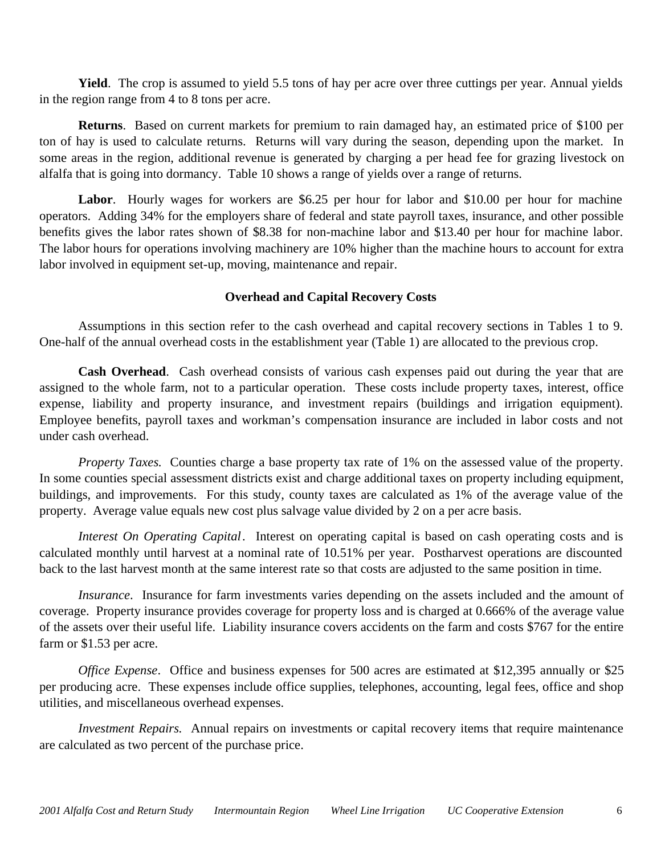**Yield**. The crop is assumed to yield 5.5 tons of hay per acre over three cuttings per year. Annual yields in the region range from 4 to 8 tons per acre.

**Returns**. Based on current markets for premium to rain damaged hay, an estimated price of \$100 per ton of hay is used to calculate returns. Returns will vary during the season, depending upon the market. In some areas in the region, additional revenue is generated by charging a per head fee for grazing livestock on alfalfa that is going into dormancy. Table 10 shows a range of yields over a range of returns.

Labor. Hourly wages for workers are \$6.25 per hour for labor and \$10.00 per hour for machine operators. Adding 34% for the employers share of federal and state payroll taxes, insurance, and other possible benefits gives the labor rates shown of \$8.38 for non-machine labor and \$13.40 per hour for machine labor. The labor hours for operations involving machinery are 10% higher than the machine hours to account for extra labor involved in equipment set-up, moving, maintenance and repair.

## **Overhead and Capital Recovery Costs**

Assumptions in this section refer to the cash overhead and capital recovery sections in Tables 1 to 9. One-half of the annual overhead costs in the establishment year (Table 1) are allocated to the previous crop.

**Cash Overhead**. Cash overhead consists of various cash expenses paid out during the year that are assigned to the whole farm, not to a particular operation. These costs include property taxes, interest, office expense, liability and property insurance, and investment repairs (buildings and irrigation equipment). Employee benefits, payroll taxes and workman's compensation insurance are included in labor costs and not under cash overhead.

*Property Taxes.* Counties charge a base property tax rate of 1% on the assessed value of the property. In some counties special assessment districts exist and charge additional taxes on property including equipment, buildings, and improvements. For this study, county taxes are calculated as 1% of the average value of the property. Average value equals new cost plus salvage value divided by 2 on a per acre basis.

*Interest On Operating Capital*. Interest on operating capital is based on cash operating costs and is calculated monthly until harvest at a nominal rate of 10.51% per year. Postharvest operations are discounted back to the last harvest month at the same interest rate so that costs are adjusted to the same position in time.

*Insurance*. Insurance for farm investments varies depending on the assets included and the amount of coverage. Property insurance provides coverage for property loss and is charged at 0.666% of the average value of the assets over their useful life. Liability insurance covers accidents on the farm and costs \$767 for the entire farm or \$1.53 per acre.

*Office Expense*. Office and business expenses for 500 acres are estimated at \$12,395 annually or \$25 per producing acre. These expenses include office supplies, telephones, accounting, legal fees, office and shop utilities, and miscellaneous overhead expenses.

*Investment Repairs.* Annual repairs on investments or capital recovery items that require maintenance are calculated as two percent of the purchase price.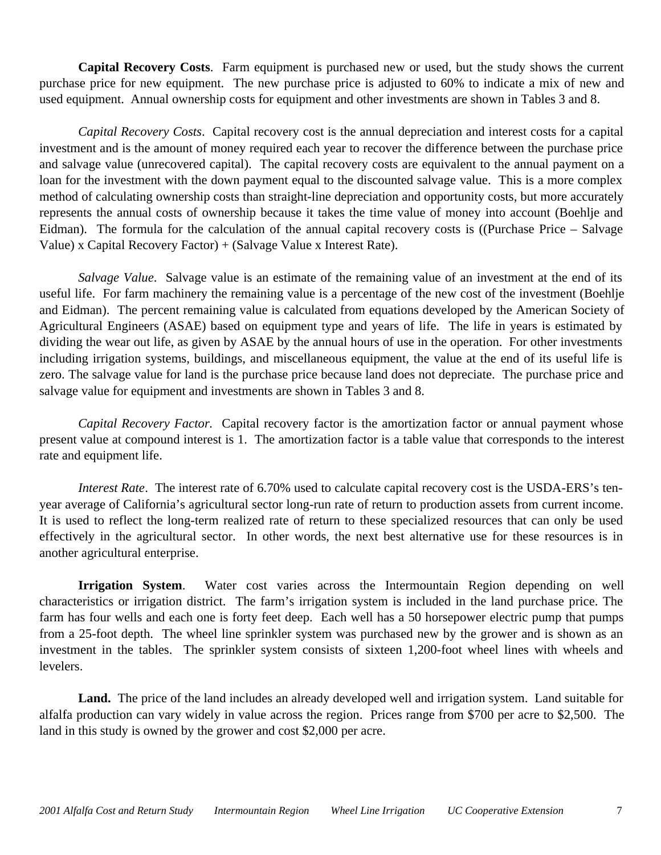**Capital Recovery Costs**. Farm equipment is purchased new or used, but the study shows the current purchase price for new equipment. The new purchase price is adjusted to 60% to indicate a mix of new and used equipment. Annual ownership costs for equipment and other investments are shown in Tables 3 and 8.

*Capital Recovery Costs*. Capital recovery cost is the annual depreciation and interest costs for a capital investment and is the amount of money required each year to recover the difference between the purchase price and salvage value (unrecovered capital). The capital recovery costs are equivalent to the annual payment on a loan for the investment with the down payment equal to the discounted salvage value. This is a more complex method of calculating ownership costs than straight-line depreciation and opportunity costs, but more accurately represents the annual costs of ownership because it takes the time value of money into account (Boehlje and Eidman). The formula for the calculation of the annual capital recovery costs is ((Purchase Price – Salvage Value) x Capital Recovery Factor) + (Salvage Value x Interest Rate).

*Salvage Value*. Salvage value is an estimate of the remaining value of an investment at the end of its useful life. For farm machinery the remaining value is a percentage of the new cost of the investment (Boehlje and Eidman). The percent remaining value is calculated from equations developed by the American Society of Agricultural Engineers (ASAE) based on equipment type and years of life. The life in years is estimated by dividing the wear out life, as given by ASAE by the annual hours of use in the operation. For other investments including irrigation systems, buildings, and miscellaneous equipment, the value at the end of its useful life is zero. The salvage value for land is the purchase price because land does not depreciate. The purchase price and salvage value for equipment and investments are shown in Tables 3 and 8.

*Capital Recovery Factor.* Capital recovery factor is the amortization factor or annual payment whose present value at compound interest is 1. The amortization factor is a table value that corresponds to the interest rate and equipment life.

*Interest Rate*. The interest rate of 6.70% used to calculate capital recovery cost is the USDA-ERS's tenyear average of California's agricultural sector long-run rate of return to production assets from current income. It is used to reflect the long-term realized rate of return to these specialized resources that can only be used effectively in the agricultural sector. In other words, the next best alternative use for these resources is in another agricultural enterprise.

**Irrigation System**. Water cost varies across the Intermountain Region depending on well characteristics or irrigation district. The farm's irrigation system is included in the land purchase price. The farm has four wells and each one is forty feet deep. Each well has a 50 horsepower electric pump that pumps from a 25-foot depth. The wheel line sprinkler system was purchased new by the grower and is shown as an investment in the tables. The sprinkler system consists of sixteen 1,200-foot wheel lines with wheels and levelers.

**Land.** The price of the land includes an already developed well and irrigation system. Land suitable for alfalfa production can vary widely in value across the region. Prices range from \$700 per acre to \$2,500. The land in this study is owned by the grower and cost \$2,000 per acre.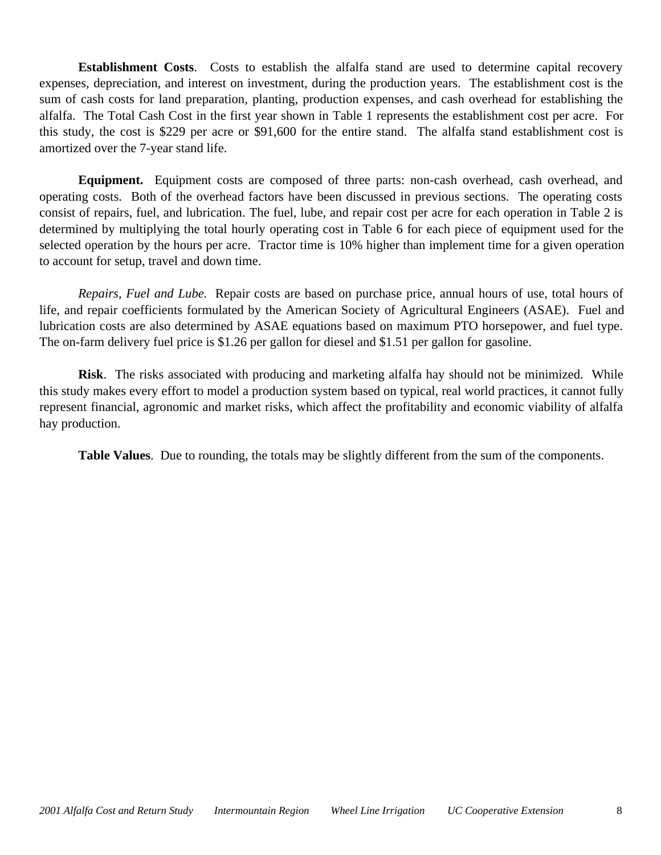**Establishment Costs**. Costs to establish the alfalfa stand are used to determine capital recovery expenses, depreciation, and interest on investment, during the production years. The establishment cost is the sum of cash costs for land preparation, planting, production expenses, and cash overhead for establishing the alfalfa. The Total Cash Cost in the first year shown in Table 1 represents the establishment cost per acre. For this study, the cost is \$229 per acre or \$91,600 for the entire stand. The alfalfa stand establishment cost is amortized over the 7-year stand life.

**Equipment.** Equipment costs are composed of three parts: non-cash overhead, cash overhead, and operating costs. Both of the overhead factors have been discussed in previous sections. The operating costs consist of repairs, fuel, and lubrication. The fuel, lube, and repair cost per acre for each operation in Table 2 is determined by multiplying the total hourly operating cost in Table 6 for each piece of equipment used for the selected operation by the hours per acre. Tractor time is 10% higher than implement time for a given operation to account for setup, travel and down time.

*Repairs, Fuel and Lube.* Repair costs are based on purchase price, annual hours of use, total hours of life, and repair coefficients formulated by the American Society of Agricultural Engineers (ASAE). Fuel and lubrication costs are also determined by ASAE equations based on maximum PTO horsepower, and fuel type. The on-farm delivery fuel price is \$1.26 per gallon for diesel and \$1.51 per gallon for gasoline.

**Risk**. The risks associated with producing and marketing alfalfa hay should not be minimized. While this study makes every effort to model a production system based on typical, real world practices, it cannot fully represent financial, agronomic and market risks, which affect the profitability and economic viability of alfalfa hay production.

**Table Values**. Due to rounding, the totals may be slightly different from the sum of the components.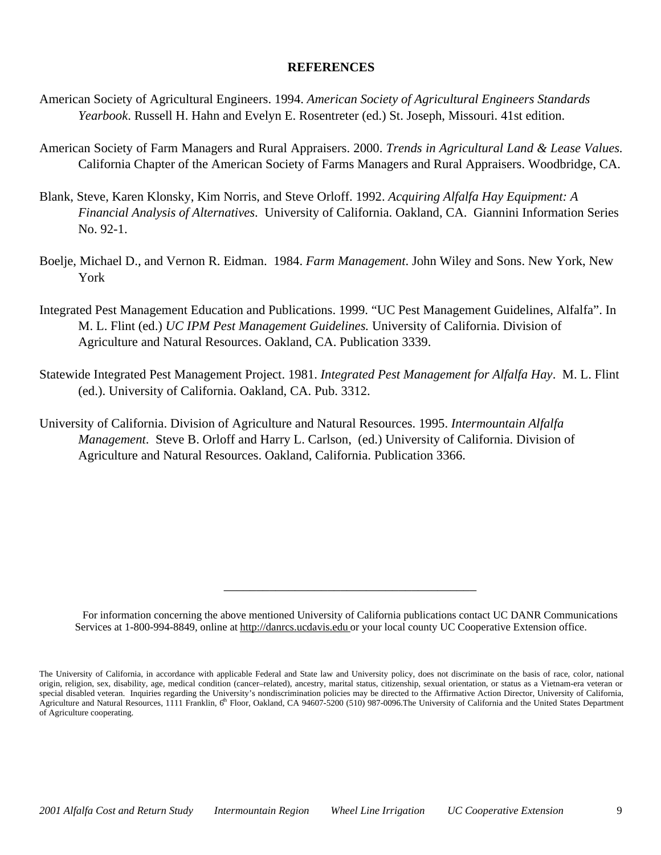#### **REFERENCES**

- American Society of Agricultural Engineers. 1994. *American Society of Agricultural Engineers Standards Yearbook*. Russell H. Hahn and Evelyn E. Rosentreter (ed.) St. Joseph, Missouri. 41st edition.
- American Society of Farm Managers and Rural Appraisers. 2000. *Trends in Agricultural Land & Lease Values.* California Chapter of the American Society of Farms Managers and Rural Appraisers. Woodbridge, CA.
- Blank, Steve, Karen Klonsky, Kim Norris, and Steve Orloff. 1992. *Acquiring Alfalfa Hay Equipment: A Financial Analysis of Alternatives*. University of California. Oakland, CA. Giannini Information Series No. 92-1.
- Boelje, Michael D., and Vernon R. Eidman. 1984. *Farm Management*. John Wiley and Sons. New York, New York
- Integrated Pest Management Education and Publications. 1999. "UC Pest Management Guidelines, Alfalfa". In M. L. Flint (ed.) *UC IPM Pest Management Guidelines.* University of California. Division of Agriculture and Natural Resources. Oakland, CA. Publication 3339.
- Statewide Integrated Pest Management Project. 1981. *Integrated Pest Management for Alfalfa Hay*. M. L. Flint (ed.). University of California. Oakland, CA. Pub. 3312.
- University of California. Division of Agriculture and Natural Resources. 1995. *Intermountain Alfalfa Management*. Steve B. Orloff and Harry L. Carlson, (ed.) University of California. Division of Agriculture and Natural Resources. Oakland, California. Publication 3366.

\_\_\_\_\_\_\_\_\_\_\_\_\_\_\_\_\_\_\_\_\_\_\_\_\_\_\_\_\_\_\_\_\_\_\_\_\_\_\_

For information concerning the above mentioned University of California publications contact UC DANR Communications Services at 1-800-994-8849, online at http://danrcs.ucdavis.edu or your local county UC Cooperative Extension office.

The University of California, in accordance with applicable Federal and State law and University policy, does not discriminate on the basis of race, color, national origin, religion, sex, disability, age, medical condition (cancer–related), ancestry, marital status, citizenship, sexual orientation, or status as a Vietnam-era veteran or special disabled veteran. Inquiries regarding the University's nondiscrimination policies may be directed to the Affirmative Action Director, University of California, Agriculture and Natural Resources, 1111 Franklin, 6<sup>th</sup> Floor, Oakland, CA 94607-5200 (510) 987-0096. The University of California and the United States Department of Agriculture cooperating.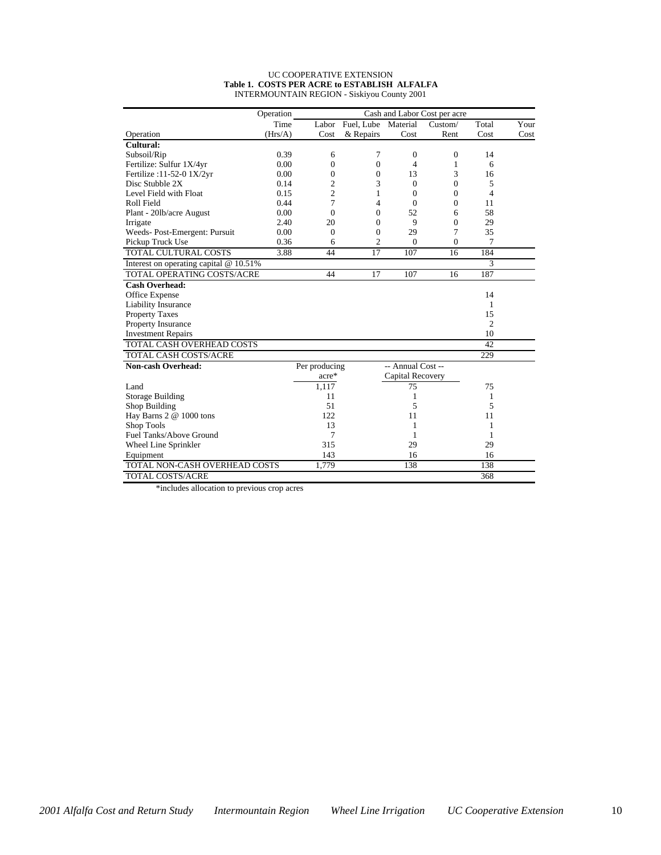#### UC COOPERATIVE EXTENSION **Table 1. COSTS PER ACRE to ESTABLISH ALFALFA** INTERMOUNTAIN REGION - Siskiyou County 2001

|                                          | Operation |                |                  |                   | Cash and Labor Cost per acre |                |      |
|------------------------------------------|-----------|----------------|------------------|-------------------|------------------------------|----------------|------|
|                                          | Time      |                | Labor Fuel, Lube | Material          | Custom/                      | Total          | Your |
| Operation                                | (Hrs/A)   | Cost           | & Repairs        | Cost              | Rent                         | Cost           | Cost |
| Cultural:                                |           |                |                  |                   |                              |                |      |
| Subsoil/Rip                              | 0.39      | 6              | 7                | $\mathbf{0}$      | $\mathbf{0}$                 | 14             |      |
| Fertilize: Sulfur 1X/4yr                 | 0.00      | $\mathbf{0}$   | $\overline{0}$   | 4                 | 1                            | 6              |      |
| Fertilize: 11-52-0 1X/2yr                | 0.00      | $\overline{0}$ | 0                | 13                | 3                            | 16             |      |
| Disc Stubble 2X                          | 0.14      | $\overline{2}$ | 3                | $\mathbf{0}$      | $\overline{0}$               | 5              |      |
| Level Field with Float                   | 0.15      | $\overline{c}$ | 1                | $\Omega$          | $\mathbf{0}$                 | 4              |      |
| Roll Field                               | 0.44      | 7              | 4                | $\Omega$          | $\Omega$                     | 11             |      |
| Plant - 201b/acre August                 | 0.00      | $\theta$       | $\theta$         | 52                | 6                            | 58             |      |
| Irrigate                                 | 2.40      | 20             | $\theta$         | 9                 | $\Omega$                     | 29             |      |
| Weeds-Post-Emergent: Pursuit             | 0.00      | $\Omega$       | $\Omega$         | 29                | 7                            | 35             |      |
| Pickup Truck Use                         | 0.36      | 6              | $\overline{2}$   | $\mathbf{0}$      | $\overline{0}$               | 7              |      |
| TOTAL CULTURAL COSTS                     | 3.88      | 44             | 17               | 107               | 16                           | 184            |      |
| Interest on operating capital $@10.51\%$ |           |                |                  |                   |                              | 3              |      |
| <b>TOTAL OPERATING COSTS/ACRE</b>        |           | 44             | 17               | 107               | 16                           | 187            |      |
| <b>Cash Overhead:</b>                    |           |                |                  |                   |                              |                |      |
| Office Expense                           |           |                |                  |                   |                              | 14             |      |
| Liability Insurance                      |           |                |                  |                   |                              | 1              |      |
| <b>Property Taxes</b>                    |           |                |                  |                   |                              | 15             |      |
| Property Insurance                       |           |                |                  |                   |                              | $\overline{2}$ |      |
| <b>Investment Repairs</b>                |           |                |                  |                   |                              | 10             |      |
| TOTAL CASH OVERHEAD COSTS                |           |                |                  |                   |                              | 42             |      |
| <b>TOTAL CASH COSTS/ACRE</b>             |           |                |                  |                   |                              | 229            |      |
| <b>Non-cash Overhead:</b>                |           | Per producing  |                  | -- Annual Cost -- |                              |                |      |
|                                          |           | acre*          |                  | Capital Recovery  |                              |                |      |
| Land                                     |           | 1,117          |                  | 75                |                              | 75             |      |
| <b>Storage Building</b>                  |           | 11             |                  | 1                 |                              | 1              |      |
| Shop Building                            |           | 51             |                  | 5                 |                              | 5              |      |
| Hay Barns 2 @ 1000 tons                  |           | 122            |                  | 11                |                              | 11             |      |
| Shop Tools                               |           | 13             |                  | 1                 |                              | 1              |      |
| Fuel Tanks/Above Ground                  |           | 7              |                  | 1                 |                              | 1              |      |
| Wheel Line Sprinkler                     |           | 315            |                  | 29                |                              | 29             |      |
| Equipment                                |           | 143            |                  | 16                |                              | 16             |      |
| TOTAL NON-CASH OVERHEAD COSTS            |           | 1,779          |                  | 138               |                              | 138            |      |
| TOTAL COSTS/ACRE                         |           |                |                  |                   |                              | 368            |      |

\*includes allocation to previous crop acres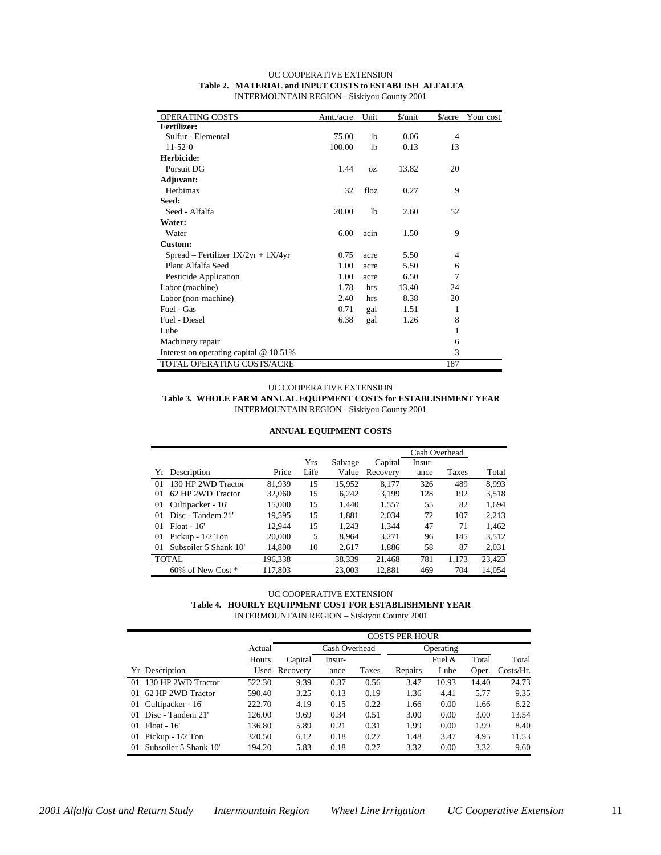| OPERATING COSTS                          | Amt./acre | Unit           | \$/unit | $\frac{\text{S}}{\text{acre}}$ | Your cost |
|------------------------------------------|-----------|----------------|---------|--------------------------------|-----------|
| <b>Fertilizer:</b>                       |           |                |         |                                |           |
| Sulfur - Elemental                       | 75.00     | 1 <sub>b</sub> | 0.06    | $\overline{4}$                 |           |
| $11 - 52 - 0$                            | 100.00    | lb             | 0.13    | 13                             |           |
| Herbicide:                               |           |                |         |                                |           |
| Pursuit DG                               | 1.44      | <b>OZ</b>      | 13.82   | 20                             |           |
| Adjuvant:                                |           |                |         |                                |           |
| Herbimax                                 | 32        | floz           | 0.27    | 9                              |           |
| Seed:                                    |           |                |         |                                |           |
| Seed - Alfalfa                           | 20.00     | 1b             | 2.60    | 52                             |           |
| Water:                                   |           |                |         |                                |           |
| Water                                    | 6.00      | acin           | 1.50    | 9                              |           |
| Custom:                                  |           |                |         |                                |           |
| Spread – Fertilizer $1X/2yr + 1X/4yr$    | 0.75      | acre           | 5.50    | 4                              |           |
| Plant Alfalfa Seed                       | 1.00      | acre           | 5.50    | 6                              |           |
| Pesticide Application                    | 1.00      | acre           | 6.50    | 7                              |           |
| Labor (machine)                          | 1.78      | hrs            | 13.40   | 24                             |           |
| Labor (non-machine)                      | 2.40      | hrs            | 8.38    | 20                             |           |
| Fuel - Gas                               | 0.71      | gal            | 1.51    | 1                              |           |
| Fuel - Diesel                            | 6.38      | gal            | 1.26    | 8                              |           |
| Lube                                     |           |                |         | 1                              |           |
| Machinery repair                         |           |                |         | 6                              |           |
| Interest on operating capital $@10.51\%$ |           |                |         | 3                              |           |
| TOTAL OPERATING COSTS/ACRE               |           |                |         | 187                            |           |

#### UC COOPERATIVE EXTENSION **Table 2. MATERIAL and INPUT COSTS to ESTABLISH ALFALFA** INTERMOUNTAIN REGION - Siskiyou County 2001

#### UC COOPERATIVE EXTENSION

**Table 3. WHOLE FARM ANNUAL EQUIPMENT COSTS for ESTABLISHMENT YEAR** INTERMOUNTAIN REGION - Siskiyou County 2001

#### **ANNUAL EQUIPMENT COSTS**

|    |                       |         |            |         |          | Cash Overhead |              |        |
|----|-----------------------|---------|------------|---------|----------|---------------|--------------|--------|
|    |                       |         | <b>Yrs</b> | Salvage | Capital  | Insur-        |              |        |
|    | Yr Description        | Price   | Life       | Value   | Recovery | ance          | <b>Taxes</b> | Total  |
| 01 | 130 HP 2WD Tractor    | 81.939  | 15         | 15.952  | 8.177    | 326           | 489          | 8.993  |
| 01 | 62 HP 2WD Tractor     | 32,060  | 15         | 6,242   | 3,199    | 128           | 192          | 3,518  |
| 01 | Cultipacker - 16'     | 15,000  | 15         | 1.440   | 1,557    | 55            | 82           | 1.694  |
| 01 | Disc - Tandem 21'     | 19,595  | 15         | 1,881   | 2,034    | 72            | 107          | 2,213  |
| 01 | $F$ loat - 16'        | 12.944  | 15         | 1.243   | 1,344    | 47            | 71           | 1.462  |
| 01 | Pickup - $1/2$ Ton    | 20,000  | 5          | 8.964   | 3,271    | 96            | 145          | 3,512  |
| 01 | Subsoiler 5 Shank 10' | 14.800  | 10         | 2.617   | 1,886    | 58            | 87           | 2,031  |
|    | TOTAL                 | 196,338 |            | 38,339  | 21.468   | 781           | 1.173        | 23,423 |
|    | 60% of New Cost *     | 117.803 |            | 23,003  | 12.881   | 469           | 704          | 14.054 |

#### UC COOPERATIVE EXTENSION **Table 4. HOURLY EQUIPMENT COST FOR ESTABLISHMENT YEAR** INTERMOUNTAIN REGION – Siskiyou County 2001

|                               |        | <b>COSTS PER HOUR</b> |               |       |         |           |       |              |  |
|-------------------------------|--------|-----------------------|---------------|-------|---------|-----------|-------|--------------|--|
|                               | Actual |                       | Cash Overhead |       |         | Operating |       |              |  |
|                               | Hours  | Capital               | Insur-        |       |         | Fuel $&$  | Total | Total        |  |
| Yr Description                |        | Used Recovery         | ance          | Taxes | Repairs | Lube      | Oper. | $Costs/Hr$ . |  |
| 130 HP 2WD Tractor<br>$_{01}$ | 522.30 | 9.39                  | 0.37          | 0.56  | 3.47    | 10.93     | 14.40 | 24.73        |  |
| 62 HP 2WD Tractor<br>01       | 590.40 | 3.25                  | 0.13          | 0.19  | 1.36    | 4.41      | 5.77  | 9.35         |  |
| Cultipacker - 16'<br>01       | 222.70 | 4.19                  | 0.15          | 0.22  | 1.66    | 0.00      | 1.66  | 6.22         |  |
| Disc - Tandem 21'<br>01       | 126.00 | 9.69                  | 0.34          | 0.51  | 3.00    | 0.00      | 3.00  | 13.54        |  |
| $Float - 16'$<br>01           | 136.80 | 5.89                  | 0.21          | 0.31  | 1.99    | 0.00      | 1.99  | 8.40         |  |
| Pickup - $1/2$ Ton<br>01      | 320.50 | 6.12                  | 0.18          | 0.27  | 1.48    | 3.47      | 4.95  | 11.53        |  |
| Subsoiler 5 Shank 10'<br>01   | 194.20 | 5.83                  | 0.18          | 0.27  | 3.32    | 0.00      | 3.32  | 9.60         |  |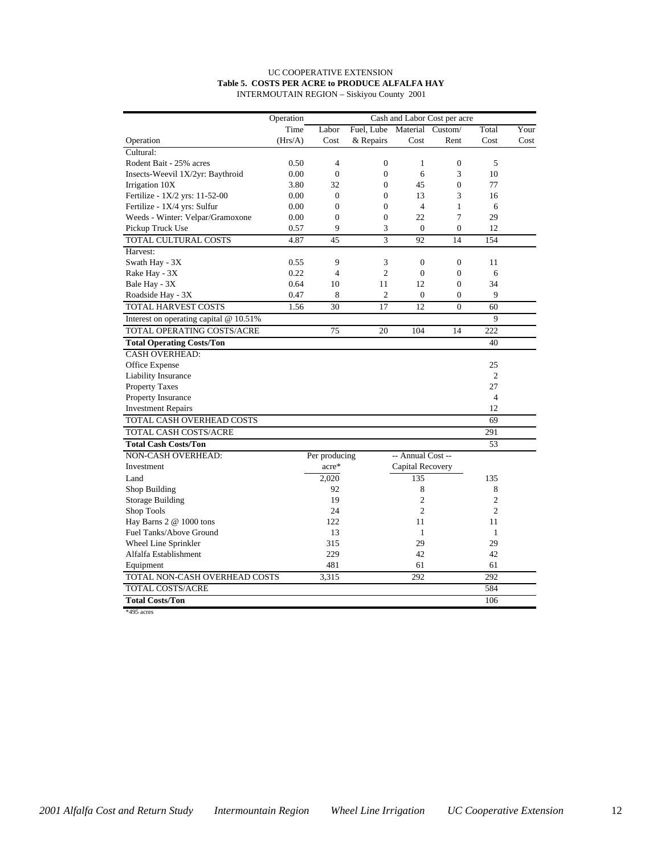#### UC COOPERATIVE EXTENSION **Table 5. COSTS PER ACRE to PRODUCE ALFALFA HAY** INTERMOUTAIN REGION – Siskiyou County 2001

|                                          | Operation |                |                  |                   | Cash and Labor Cost per acre |                |      |
|------------------------------------------|-----------|----------------|------------------|-------------------|------------------------------|----------------|------|
|                                          | Time      | Labor          | Fuel, Lube       | Material          | Custom/                      | Total          | Your |
| Operation                                | (Hrs/A)   | Cost           | & Repairs        | Cost              | Rent                         | Cost           | Cost |
| Cultural:                                |           |                |                  |                   |                              |                |      |
| Rodent Bait - 25% acres                  | 0.50      | 4              | $\boldsymbol{0}$ | 1                 | $\boldsymbol{0}$             | 5              |      |
| Insects-Weevil 1X/2yr: Baythroid         | 0.00      | $\mathbf{0}$   | $\overline{0}$   | 6                 | 3                            | 10             |      |
| Irrigation 10X                           | 3.80      | 32             | $\overline{0}$   | 45                | $\overline{0}$               | 77             |      |
| Fertilize - 1X/2 yrs: 11-52-00           | 0.00      | $\overline{0}$ | $\overline{0}$   | 13                | 3                            | 16             |      |
| Fertilize - 1X/4 yrs: Sulfur             | 0.00      | $\overline{0}$ | $\overline{0}$   | $\overline{4}$    | $\mathbf{1}$                 | 6              |      |
| Weeds - Winter: Velpar/Gramoxone         | 0.00      | $\theta$       | $\theta$         | 22                | 7                            | 29             |      |
| Pickup Truck Use                         | 0.57      | 9              | 3                | $\Omega$          | $\boldsymbol{0}$             | 12             |      |
| TOTAL CULTURAL COSTS                     | 4.87      | 45             | 3                | 92                | 14                           | 154            |      |
| Harvest:                                 |           |                |                  |                   |                              |                |      |
| Swath Hay - 3X                           | 0.55      | 9              | 3                | $\mathbf{0}$      | $\overline{0}$               | 11             |      |
| Rake Hay - 3X                            | 0.22      | 4              | $\overline{c}$   | $\mathbf{0}$      | $\overline{0}$               | 6              |      |
| Bale Hay - 3X                            | 0.64      | 10             | 11               | 12                | $\overline{0}$               | 34             |      |
| Roadside Hay - 3X                        | 0.47      | 8              | $\mathfrak{2}$   | $\mathbf{0}$      | $\overline{0}$               | 9              |      |
| TOTAL HARVEST COSTS                      | 1.56      | 30             | 17               | 12                | $\overline{0}$               | 60             |      |
| Interest on operating capital $@10.51\%$ |           |                |                  |                   |                              | 9              |      |
| TOTAL OPERATING COSTS/ACRE               |           | 75             | 20               | 104               | 14                           | 222            |      |
| <b>Total Operating Costs/Ton</b>         |           |                |                  |                   |                              | 40             |      |
| <b>CASH OVERHEAD:</b>                    |           |                |                  |                   |                              |                |      |
| Office Expense                           |           |                |                  |                   |                              | 25             |      |
| <b>Liability Insurance</b>               |           |                |                  |                   |                              | 2              |      |
| <b>Property Taxes</b>                    |           |                |                  |                   |                              | 27             |      |
| Property Insurance                       |           |                |                  |                   |                              | $\overline{4}$ |      |
| <b>Investment Repairs</b>                |           |                |                  |                   |                              | 12             |      |
| TOTAL CASH OVERHEAD COSTS                |           |                |                  |                   |                              | 69             |      |
| TOTAL CASH COSTS/ACRE                    |           |                |                  |                   |                              | 291            |      |
| <b>Total Cash Costs/Ton</b>              |           |                |                  |                   |                              | 53             |      |
| NON-CASH OVERHEAD:                       |           | Per producing  |                  | -- Annual Cost -- |                              |                |      |
| Investment                               |           | acre*          |                  | Capital Recovery  |                              |                |      |
| Land                                     |           | 2,020          |                  | 135               |                              | 135            |      |
| Shop Building                            |           | 92             |                  | 8                 |                              | 8              |      |
| Storage Building                         |           | 19             |                  | $\overline{c}$    |                              | $\overline{c}$ |      |
| Shop Tools                               |           | 24             |                  | $\mathfrak{2}$    |                              | $\mathfrak{2}$ |      |
| Hay Barns 2 @ 1000 tons                  |           | 122            |                  | 11                |                              | 11             |      |
| Fuel Tanks/Above Ground                  |           | 13             |                  | $\mathbf{1}$      |                              | 1              |      |
| Wheel Line Sprinkler                     |           | 315            |                  | 29                |                              | 29             |      |
| Alfalfa Establishment                    |           | 229            |                  | 42                |                              | 42             |      |
| Equipment                                |           | 481            |                  | 61                |                              | 61             |      |
| TOTAL NON-CASH OVERHEAD COSTS            |           | 3,315          |                  | 292               |                              | 292            |      |
| TOTAL COSTS/ACRE                         |           |                |                  |                   |                              | 584            |      |
| <b>Total Costs/Ton</b>                   |           |                |                  |                   |                              | 106            |      |
| *495 acres                               |           |                |                  |                   |                              |                |      |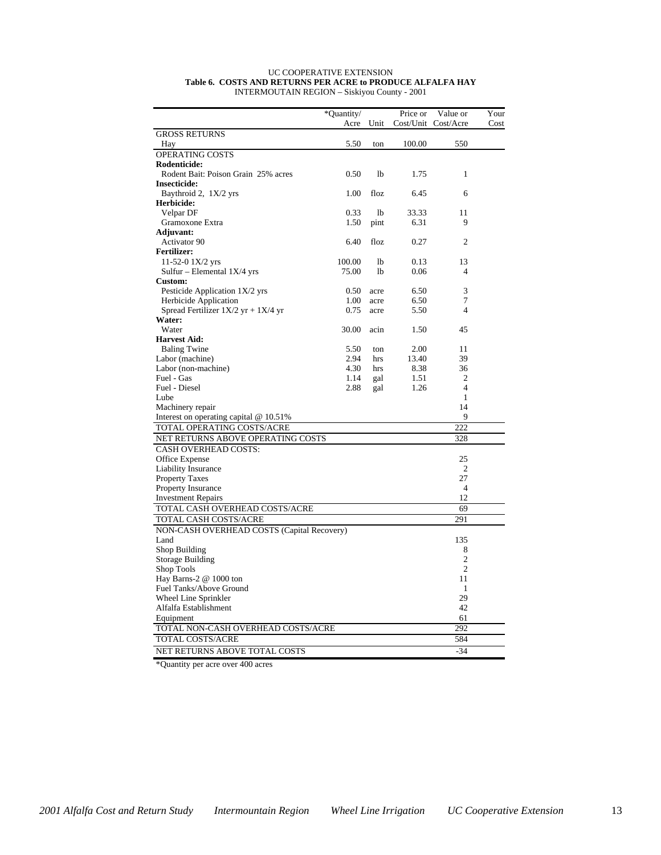#### UC COOPERATIVE EXTENSION **Table 6. COSTS AND RETURNS PER ACRE to PRODUCE ALFALFA HAY** INTERMOUTAIN REGION – Siskiyou County - 2001

| Unit<br>Cost/Unit<br>Cost/Acre<br>Acre<br>Cost<br><b>GROSS RETURNS</b><br>5.50<br>100.00<br>550<br>Hay<br>ton<br>OPERATING COSTS<br>Rodenticide:<br>Rodent Bait: Poison Grain 25% acres<br>0.50<br>1 <sub>b</sub><br>$\mathbf{1}$<br>1.75<br><b>Insecticide:</b><br>Baythroid 2, 1X/2 yrs<br>1.00<br>floz<br>6.45<br>6<br>Herbicide:<br>0.33<br>11<br>Velpar DF<br><sup>1</sup><br>33.33<br>Gramoxone Extra<br>1.50<br>6.31<br>9<br>pint<br><b>Adjuvant:</b><br>Activator 90<br>6.40<br>floz<br>0.27<br>2<br><b>Fertilizer:</b><br>11-52-0 $1X/2$ yrs<br>100.00<br><sup>1</sup><br>0.13<br>13<br>Sulfur – Elemental $1X/4$ yrs<br>75.00<br>lb<br>0.06<br>$\overline{4}$<br><b>Custom:</b><br>3<br>Pesticide Application 1X/2 yrs<br>6.50<br>0.50<br>acre<br>7<br>Herbicide Application<br>6.50<br>1.00<br>acre<br>Spread Fertilizer $1X/2$ yr + $1X/4$ yr<br>$\overline{4}$<br>0.75<br>5.50<br>acre<br>Water:<br>Water<br>30.00<br>acin<br>1.50<br>45<br><b>Harvest Aid:</b><br><b>Baling Twine</b><br>5.50<br>11<br>2.00<br>ton<br>2.94<br>39<br>Labor (machine)<br>13.40<br>hrs<br>36<br>Labor (non-machine)<br>4.30<br>8.38<br>hrs<br>Fuel - Gas<br>1.14<br>1.51<br>2<br>gal<br>Fuel - Diesel<br>2.88<br>1.26<br>$\overline{4}$<br>gal<br>Lube<br>1<br>Machinery repair<br>14<br>9<br>Interest on operating capital $@$ 10.51%<br>222<br>TOTAL OPERATING COSTS/ACRE<br>NET RETURNS ABOVE OPERATING COSTS<br>328<br><b>CASH OVERHEAD COSTS:</b><br>Office Expense<br>25<br><b>Liability Insurance</b><br>2<br><b>Property Taxes</b><br>27<br>$\overline{4}$<br>Property Insurance<br>12<br><b>Investment Repairs</b><br>TOTAL CASH OVERHEAD COSTS/ACRE<br>69<br>291<br>TOTAL CASH COSTS/ACRE<br>NON-CASH OVERHEAD COSTS (Capital Recovery)<br>Land<br>135<br>Shop Building<br>8<br>$\overline{c}$<br>Storage Building<br>$\mathfrak{2}$<br>Shop Tools<br>Hay Barns-2 @ 1000 ton<br>11<br>Fuel Tanks/Above Ground<br>1<br>Wheel Line Sprinkler<br>29<br>Alfalfa Establishment<br>42<br>Equipment<br>61<br>TOTAL NON-CASH OVERHEAD COSTS/ACRE<br>292<br>TOTAL COSTS/ACRE<br>584 |                               | *Quantity/ | Price or | Value or | Your |
|---------------------------------------------------------------------------------------------------------------------------------------------------------------------------------------------------------------------------------------------------------------------------------------------------------------------------------------------------------------------------------------------------------------------------------------------------------------------------------------------------------------------------------------------------------------------------------------------------------------------------------------------------------------------------------------------------------------------------------------------------------------------------------------------------------------------------------------------------------------------------------------------------------------------------------------------------------------------------------------------------------------------------------------------------------------------------------------------------------------------------------------------------------------------------------------------------------------------------------------------------------------------------------------------------------------------------------------------------------------------------------------------------------------------------------------------------------------------------------------------------------------------------------------------------------------------------------------------------------------------------------------------------------------------------------------------------------------------------------------------------------------------------------------------------------------------------------------------------------------------------------------------------------------------------------------------------------------------------------------------------------------------------------------------------------------------------------|-------------------------------|------------|----------|----------|------|
|                                                                                                                                                                                                                                                                                                                                                                                                                                                                                                                                                                                                                                                                                                                                                                                                                                                                                                                                                                                                                                                                                                                                                                                                                                                                                                                                                                                                                                                                                                                                                                                                                                                                                                                                                                                                                                                                                                                                                                                                                                                                                 |                               |            |          |          |      |
|                                                                                                                                                                                                                                                                                                                                                                                                                                                                                                                                                                                                                                                                                                                                                                                                                                                                                                                                                                                                                                                                                                                                                                                                                                                                                                                                                                                                                                                                                                                                                                                                                                                                                                                                                                                                                                                                                                                                                                                                                                                                                 |                               |            |          |          |      |
|                                                                                                                                                                                                                                                                                                                                                                                                                                                                                                                                                                                                                                                                                                                                                                                                                                                                                                                                                                                                                                                                                                                                                                                                                                                                                                                                                                                                                                                                                                                                                                                                                                                                                                                                                                                                                                                                                                                                                                                                                                                                                 |                               |            |          |          |      |
|                                                                                                                                                                                                                                                                                                                                                                                                                                                                                                                                                                                                                                                                                                                                                                                                                                                                                                                                                                                                                                                                                                                                                                                                                                                                                                                                                                                                                                                                                                                                                                                                                                                                                                                                                                                                                                                                                                                                                                                                                                                                                 |                               |            |          |          |      |
|                                                                                                                                                                                                                                                                                                                                                                                                                                                                                                                                                                                                                                                                                                                                                                                                                                                                                                                                                                                                                                                                                                                                                                                                                                                                                                                                                                                                                                                                                                                                                                                                                                                                                                                                                                                                                                                                                                                                                                                                                                                                                 |                               |            |          |          |      |
|                                                                                                                                                                                                                                                                                                                                                                                                                                                                                                                                                                                                                                                                                                                                                                                                                                                                                                                                                                                                                                                                                                                                                                                                                                                                                                                                                                                                                                                                                                                                                                                                                                                                                                                                                                                                                                                                                                                                                                                                                                                                                 |                               |            |          |          |      |
|                                                                                                                                                                                                                                                                                                                                                                                                                                                                                                                                                                                                                                                                                                                                                                                                                                                                                                                                                                                                                                                                                                                                                                                                                                                                                                                                                                                                                                                                                                                                                                                                                                                                                                                                                                                                                                                                                                                                                                                                                                                                                 |                               |            |          |          |      |
|                                                                                                                                                                                                                                                                                                                                                                                                                                                                                                                                                                                                                                                                                                                                                                                                                                                                                                                                                                                                                                                                                                                                                                                                                                                                                                                                                                                                                                                                                                                                                                                                                                                                                                                                                                                                                                                                                                                                                                                                                                                                                 |                               |            |          |          |      |
|                                                                                                                                                                                                                                                                                                                                                                                                                                                                                                                                                                                                                                                                                                                                                                                                                                                                                                                                                                                                                                                                                                                                                                                                                                                                                                                                                                                                                                                                                                                                                                                                                                                                                                                                                                                                                                                                                                                                                                                                                                                                                 |                               |            |          |          |      |
|                                                                                                                                                                                                                                                                                                                                                                                                                                                                                                                                                                                                                                                                                                                                                                                                                                                                                                                                                                                                                                                                                                                                                                                                                                                                                                                                                                                                                                                                                                                                                                                                                                                                                                                                                                                                                                                                                                                                                                                                                                                                                 |                               |            |          |          |      |
|                                                                                                                                                                                                                                                                                                                                                                                                                                                                                                                                                                                                                                                                                                                                                                                                                                                                                                                                                                                                                                                                                                                                                                                                                                                                                                                                                                                                                                                                                                                                                                                                                                                                                                                                                                                                                                                                                                                                                                                                                                                                                 |                               |            |          |          |      |
|                                                                                                                                                                                                                                                                                                                                                                                                                                                                                                                                                                                                                                                                                                                                                                                                                                                                                                                                                                                                                                                                                                                                                                                                                                                                                                                                                                                                                                                                                                                                                                                                                                                                                                                                                                                                                                                                                                                                                                                                                                                                                 |                               |            |          |          |      |
|                                                                                                                                                                                                                                                                                                                                                                                                                                                                                                                                                                                                                                                                                                                                                                                                                                                                                                                                                                                                                                                                                                                                                                                                                                                                                                                                                                                                                                                                                                                                                                                                                                                                                                                                                                                                                                                                                                                                                                                                                                                                                 |                               |            |          |          |      |
|                                                                                                                                                                                                                                                                                                                                                                                                                                                                                                                                                                                                                                                                                                                                                                                                                                                                                                                                                                                                                                                                                                                                                                                                                                                                                                                                                                                                                                                                                                                                                                                                                                                                                                                                                                                                                                                                                                                                                                                                                                                                                 |                               |            |          |          |      |
|                                                                                                                                                                                                                                                                                                                                                                                                                                                                                                                                                                                                                                                                                                                                                                                                                                                                                                                                                                                                                                                                                                                                                                                                                                                                                                                                                                                                                                                                                                                                                                                                                                                                                                                                                                                                                                                                                                                                                                                                                                                                                 |                               |            |          |          |      |
|                                                                                                                                                                                                                                                                                                                                                                                                                                                                                                                                                                                                                                                                                                                                                                                                                                                                                                                                                                                                                                                                                                                                                                                                                                                                                                                                                                                                                                                                                                                                                                                                                                                                                                                                                                                                                                                                                                                                                                                                                                                                                 |                               |            |          |          |      |
|                                                                                                                                                                                                                                                                                                                                                                                                                                                                                                                                                                                                                                                                                                                                                                                                                                                                                                                                                                                                                                                                                                                                                                                                                                                                                                                                                                                                                                                                                                                                                                                                                                                                                                                                                                                                                                                                                                                                                                                                                                                                                 |                               |            |          |          |      |
|                                                                                                                                                                                                                                                                                                                                                                                                                                                                                                                                                                                                                                                                                                                                                                                                                                                                                                                                                                                                                                                                                                                                                                                                                                                                                                                                                                                                                                                                                                                                                                                                                                                                                                                                                                                                                                                                                                                                                                                                                                                                                 |                               |            |          |          |      |
|                                                                                                                                                                                                                                                                                                                                                                                                                                                                                                                                                                                                                                                                                                                                                                                                                                                                                                                                                                                                                                                                                                                                                                                                                                                                                                                                                                                                                                                                                                                                                                                                                                                                                                                                                                                                                                                                                                                                                                                                                                                                                 |                               |            |          |          |      |
|                                                                                                                                                                                                                                                                                                                                                                                                                                                                                                                                                                                                                                                                                                                                                                                                                                                                                                                                                                                                                                                                                                                                                                                                                                                                                                                                                                                                                                                                                                                                                                                                                                                                                                                                                                                                                                                                                                                                                                                                                                                                                 |                               |            |          |          |      |
|                                                                                                                                                                                                                                                                                                                                                                                                                                                                                                                                                                                                                                                                                                                                                                                                                                                                                                                                                                                                                                                                                                                                                                                                                                                                                                                                                                                                                                                                                                                                                                                                                                                                                                                                                                                                                                                                                                                                                                                                                                                                                 |                               |            |          |          |      |
|                                                                                                                                                                                                                                                                                                                                                                                                                                                                                                                                                                                                                                                                                                                                                                                                                                                                                                                                                                                                                                                                                                                                                                                                                                                                                                                                                                                                                                                                                                                                                                                                                                                                                                                                                                                                                                                                                                                                                                                                                                                                                 |                               |            |          |          |      |
|                                                                                                                                                                                                                                                                                                                                                                                                                                                                                                                                                                                                                                                                                                                                                                                                                                                                                                                                                                                                                                                                                                                                                                                                                                                                                                                                                                                                                                                                                                                                                                                                                                                                                                                                                                                                                                                                                                                                                                                                                                                                                 |                               |            |          |          |      |
|                                                                                                                                                                                                                                                                                                                                                                                                                                                                                                                                                                                                                                                                                                                                                                                                                                                                                                                                                                                                                                                                                                                                                                                                                                                                                                                                                                                                                                                                                                                                                                                                                                                                                                                                                                                                                                                                                                                                                                                                                                                                                 |                               |            |          |          |      |
|                                                                                                                                                                                                                                                                                                                                                                                                                                                                                                                                                                                                                                                                                                                                                                                                                                                                                                                                                                                                                                                                                                                                                                                                                                                                                                                                                                                                                                                                                                                                                                                                                                                                                                                                                                                                                                                                                                                                                                                                                                                                                 |                               |            |          |          |      |
|                                                                                                                                                                                                                                                                                                                                                                                                                                                                                                                                                                                                                                                                                                                                                                                                                                                                                                                                                                                                                                                                                                                                                                                                                                                                                                                                                                                                                                                                                                                                                                                                                                                                                                                                                                                                                                                                                                                                                                                                                                                                                 |                               |            |          |          |      |
|                                                                                                                                                                                                                                                                                                                                                                                                                                                                                                                                                                                                                                                                                                                                                                                                                                                                                                                                                                                                                                                                                                                                                                                                                                                                                                                                                                                                                                                                                                                                                                                                                                                                                                                                                                                                                                                                                                                                                                                                                                                                                 |                               |            |          |          |      |
|                                                                                                                                                                                                                                                                                                                                                                                                                                                                                                                                                                                                                                                                                                                                                                                                                                                                                                                                                                                                                                                                                                                                                                                                                                                                                                                                                                                                                                                                                                                                                                                                                                                                                                                                                                                                                                                                                                                                                                                                                                                                                 |                               |            |          |          |      |
|                                                                                                                                                                                                                                                                                                                                                                                                                                                                                                                                                                                                                                                                                                                                                                                                                                                                                                                                                                                                                                                                                                                                                                                                                                                                                                                                                                                                                                                                                                                                                                                                                                                                                                                                                                                                                                                                                                                                                                                                                                                                                 |                               |            |          |          |      |
|                                                                                                                                                                                                                                                                                                                                                                                                                                                                                                                                                                                                                                                                                                                                                                                                                                                                                                                                                                                                                                                                                                                                                                                                                                                                                                                                                                                                                                                                                                                                                                                                                                                                                                                                                                                                                                                                                                                                                                                                                                                                                 |                               |            |          |          |      |
|                                                                                                                                                                                                                                                                                                                                                                                                                                                                                                                                                                                                                                                                                                                                                                                                                                                                                                                                                                                                                                                                                                                                                                                                                                                                                                                                                                                                                                                                                                                                                                                                                                                                                                                                                                                                                                                                                                                                                                                                                                                                                 |                               |            |          |          |      |
|                                                                                                                                                                                                                                                                                                                                                                                                                                                                                                                                                                                                                                                                                                                                                                                                                                                                                                                                                                                                                                                                                                                                                                                                                                                                                                                                                                                                                                                                                                                                                                                                                                                                                                                                                                                                                                                                                                                                                                                                                                                                                 |                               |            |          |          |      |
|                                                                                                                                                                                                                                                                                                                                                                                                                                                                                                                                                                                                                                                                                                                                                                                                                                                                                                                                                                                                                                                                                                                                                                                                                                                                                                                                                                                                                                                                                                                                                                                                                                                                                                                                                                                                                                                                                                                                                                                                                                                                                 |                               |            |          |          |      |
|                                                                                                                                                                                                                                                                                                                                                                                                                                                                                                                                                                                                                                                                                                                                                                                                                                                                                                                                                                                                                                                                                                                                                                                                                                                                                                                                                                                                                                                                                                                                                                                                                                                                                                                                                                                                                                                                                                                                                                                                                                                                                 |                               |            |          |          |      |
|                                                                                                                                                                                                                                                                                                                                                                                                                                                                                                                                                                                                                                                                                                                                                                                                                                                                                                                                                                                                                                                                                                                                                                                                                                                                                                                                                                                                                                                                                                                                                                                                                                                                                                                                                                                                                                                                                                                                                                                                                                                                                 |                               |            |          |          |      |
|                                                                                                                                                                                                                                                                                                                                                                                                                                                                                                                                                                                                                                                                                                                                                                                                                                                                                                                                                                                                                                                                                                                                                                                                                                                                                                                                                                                                                                                                                                                                                                                                                                                                                                                                                                                                                                                                                                                                                                                                                                                                                 |                               |            |          |          |      |
|                                                                                                                                                                                                                                                                                                                                                                                                                                                                                                                                                                                                                                                                                                                                                                                                                                                                                                                                                                                                                                                                                                                                                                                                                                                                                                                                                                                                                                                                                                                                                                                                                                                                                                                                                                                                                                                                                                                                                                                                                                                                                 |                               |            |          |          |      |
|                                                                                                                                                                                                                                                                                                                                                                                                                                                                                                                                                                                                                                                                                                                                                                                                                                                                                                                                                                                                                                                                                                                                                                                                                                                                                                                                                                                                                                                                                                                                                                                                                                                                                                                                                                                                                                                                                                                                                                                                                                                                                 |                               |            |          |          |      |
|                                                                                                                                                                                                                                                                                                                                                                                                                                                                                                                                                                                                                                                                                                                                                                                                                                                                                                                                                                                                                                                                                                                                                                                                                                                                                                                                                                                                                                                                                                                                                                                                                                                                                                                                                                                                                                                                                                                                                                                                                                                                                 |                               |            |          |          |      |
|                                                                                                                                                                                                                                                                                                                                                                                                                                                                                                                                                                                                                                                                                                                                                                                                                                                                                                                                                                                                                                                                                                                                                                                                                                                                                                                                                                                                                                                                                                                                                                                                                                                                                                                                                                                                                                                                                                                                                                                                                                                                                 |                               |            |          |          |      |
|                                                                                                                                                                                                                                                                                                                                                                                                                                                                                                                                                                                                                                                                                                                                                                                                                                                                                                                                                                                                                                                                                                                                                                                                                                                                                                                                                                                                                                                                                                                                                                                                                                                                                                                                                                                                                                                                                                                                                                                                                                                                                 |                               |            |          |          |      |
|                                                                                                                                                                                                                                                                                                                                                                                                                                                                                                                                                                                                                                                                                                                                                                                                                                                                                                                                                                                                                                                                                                                                                                                                                                                                                                                                                                                                                                                                                                                                                                                                                                                                                                                                                                                                                                                                                                                                                                                                                                                                                 |                               |            |          |          |      |
|                                                                                                                                                                                                                                                                                                                                                                                                                                                                                                                                                                                                                                                                                                                                                                                                                                                                                                                                                                                                                                                                                                                                                                                                                                                                                                                                                                                                                                                                                                                                                                                                                                                                                                                                                                                                                                                                                                                                                                                                                                                                                 |                               |            |          |          |      |
|                                                                                                                                                                                                                                                                                                                                                                                                                                                                                                                                                                                                                                                                                                                                                                                                                                                                                                                                                                                                                                                                                                                                                                                                                                                                                                                                                                                                                                                                                                                                                                                                                                                                                                                                                                                                                                                                                                                                                                                                                                                                                 |                               |            |          |          |      |
|                                                                                                                                                                                                                                                                                                                                                                                                                                                                                                                                                                                                                                                                                                                                                                                                                                                                                                                                                                                                                                                                                                                                                                                                                                                                                                                                                                                                                                                                                                                                                                                                                                                                                                                                                                                                                                                                                                                                                                                                                                                                                 |                               |            |          |          |      |
|                                                                                                                                                                                                                                                                                                                                                                                                                                                                                                                                                                                                                                                                                                                                                                                                                                                                                                                                                                                                                                                                                                                                                                                                                                                                                                                                                                                                                                                                                                                                                                                                                                                                                                                                                                                                                                                                                                                                                                                                                                                                                 |                               |            |          |          |      |
|                                                                                                                                                                                                                                                                                                                                                                                                                                                                                                                                                                                                                                                                                                                                                                                                                                                                                                                                                                                                                                                                                                                                                                                                                                                                                                                                                                                                                                                                                                                                                                                                                                                                                                                                                                                                                                                                                                                                                                                                                                                                                 |                               |            |          |          |      |
|                                                                                                                                                                                                                                                                                                                                                                                                                                                                                                                                                                                                                                                                                                                                                                                                                                                                                                                                                                                                                                                                                                                                                                                                                                                                                                                                                                                                                                                                                                                                                                                                                                                                                                                                                                                                                                                                                                                                                                                                                                                                                 |                               |            |          |          |      |
|                                                                                                                                                                                                                                                                                                                                                                                                                                                                                                                                                                                                                                                                                                                                                                                                                                                                                                                                                                                                                                                                                                                                                                                                                                                                                                                                                                                                                                                                                                                                                                                                                                                                                                                                                                                                                                                                                                                                                                                                                                                                                 |                               |            |          |          |      |
|                                                                                                                                                                                                                                                                                                                                                                                                                                                                                                                                                                                                                                                                                                                                                                                                                                                                                                                                                                                                                                                                                                                                                                                                                                                                                                                                                                                                                                                                                                                                                                                                                                                                                                                                                                                                                                                                                                                                                                                                                                                                                 |                               |            |          |          |      |
|                                                                                                                                                                                                                                                                                                                                                                                                                                                                                                                                                                                                                                                                                                                                                                                                                                                                                                                                                                                                                                                                                                                                                                                                                                                                                                                                                                                                                                                                                                                                                                                                                                                                                                                                                                                                                                                                                                                                                                                                                                                                                 |                               |            |          |          |      |
|                                                                                                                                                                                                                                                                                                                                                                                                                                                                                                                                                                                                                                                                                                                                                                                                                                                                                                                                                                                                                                                                                                                                                                                                                                                                                                                                                                                                                                                                                                                                                                                                                                                                                                                                                                                                                                                                                                                                                                                                                                                                                 |                               |            |          |          |      |
|                                                                                                                                                                                                                                                                                                                                                                                                                                                                                                                                                                                                                                                                                                                                                                                                                                                                                                                                                                                                                                                                                                                                                                                                                                                                                                                                                                                                                                                                                                                                                                                                                                                                                                                                                                                                                                                                                                                                                                                                                                                                                 |                               |            |          |          |      |
|                                                                                                                                                                                                                                                                                                                                                                                                                                                                                                                                                                                                                                                                                                                                                                                                                                                                                                                                                                                                                                                                                                                                                                                                                                                                                                                                                                                                                                                                                                                                                                                                                                                                                                                                                                                                                                                                                                                                                                                                                                                                                 |                               |            |          |          |      |
|                                                                                                                                                                                                                                                                                                                                                                                                                                                                                                                                                                                                                                                                                                                                                                                                                                                                                                                                                                                                                                                                                                                                                                                                                                                                                                                                                                                                                                                                                                                                                                                                                                                                                                                                                                                                                                                                                                                                                                                                                                                                                 | NET RETURNS ABOVE TOTAL COSTS |            |          | $-34$    |      |

\*Quantity per acre over 400 acres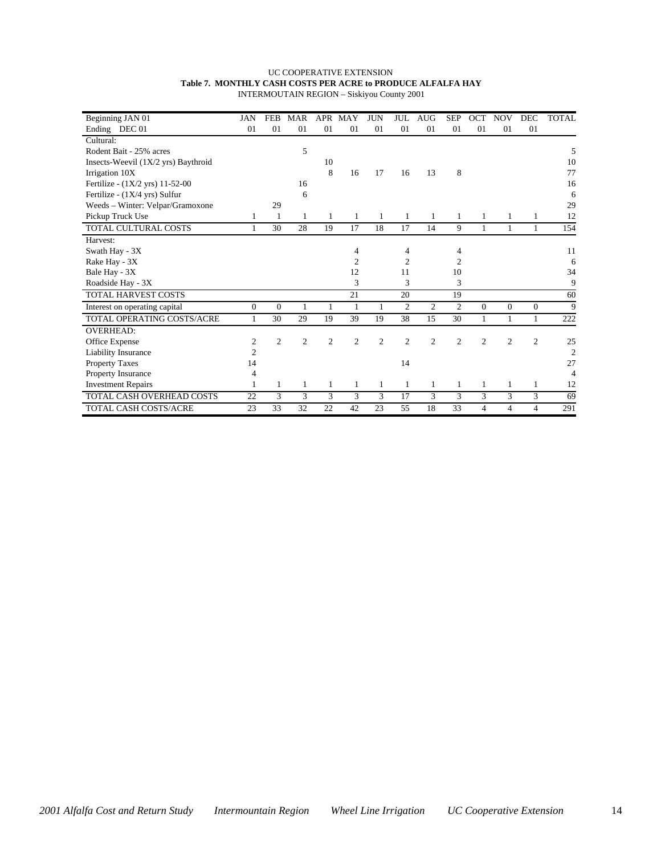#### UC COOPERATIVE EXTENSION **Table 7. MONTHLY CASH COSTS PER ACRE to PRODUCE ALFALFA HAY** INTERMOUTAIN REGION – Siskiyou County 2001

| Beginning JAN 01                      | JAN              | <b>FEB</b>     | <b>MAR</b>     | APR            | MAY | <b>JUN</b>     | <b>JUL</b>     | <b>AUG</b>     | <b>SEP</b>     | OCT            | <b>NOV</b>     | DEC            | <b>TOTAL</b>   |
|---------------------------------------|------------------|----------------|----------------|----------------|-----|----------------|----------------|----------------|----------------|----------------|----------------|----------------|----------------|
| Ending DEC 01                         | 01               | 01             | 01             | 01             | 01  | 01             | 01             | 01             | 01             | 01             | 01             | 01             |                |
| Cultural:                             |                  |                |                |                |     |                |                |                |                |                |                |                |                |
| Rodent Bait - 25% acres               |                  |                | 5              |                |     |                |                |                |                |                |                |                | 5              |
| Insects-Weevil $(1X/2$ yrs) Baythroid |                  |                |                | 10             |     |                |                |                |                |                |                |                | 10             |
| Irrigation 10X                        |                  |                |                | 8              | 16  | 17             | 16             | 13             | 8              |                |                |                | 77             |
| Fertilize - (1X/2 yrs) 11-52-00       |                  |                | 16             |                |     |                |                |                |                |                |                |                | 16             |
| Fertilize - (1X/4 yrs) Sulfur         |                  |                | 6              |                |     |                |                |                |                |                |                |                | 6              |
| Weeds - Winter: Velpar/Gramoxone      |                  | 29             |                |                |     |                |                |                |                |                |                |                | 29             |
| Pickup Truck Use                      | 1                | 1              | 1              | 1              | 1   | 1              | 1              | 1              | 1              | 1              | 1              | 1              | 12             |
| TOTAL CULTURAL COSTS                  | 1                | 30             | 28             | 19             | 17  | 18             | 17             | 14             | 9              | $\mathbf{1}$   | 1              | 1              | 154            |
| Harvest:                              |                  |                |                |                |     |                |                |                |                |                |                |                |                |
| Swath Hay - 3X                        |                  |                |                |                | 4   |                | 4              |                | 4              |                |                |                | 11             |
| Rake Hay - 3X                         |                  |                |                |                | 2   |                | $\overline{c}$ |                | 2              |                |                |                | 6              |
| Bale Hay - 3X                         |                  |                |                |                | 12  |                | 11             |                | 10             |                |                |                | 34             |
| Roadside Hay - 3X                     |                  |                |                |                | 3   |                | 3              |                | 3              |                |                |                | 9              |
| <b>TOTAL HARVEST COSTS</b>            |                  |                |                |                | 21  |                | 20             |                | 19             |                |                |                | 60             |
| Interest on operating capital         | $\overline{0}$   | $\overline{0}$ | 1              | 1              | 1   | 1              | $\mathfrak{2}$ | $\mathfrak{2}$ | $\mathfrak{2}$ | $\mathbf{0}$   | $\mathbf{0}$   | $\mathbf{0}$   | 9              |
| TOTAL OPERATING COSTS/ACRE            | 1                | 30             | 29             | 19             | 39  | 19             | 38             | 15             | 30             | 1              | $\mathbf{1}$   | $\mathbf{1}$   | 222            |
| <b>OVERHEAD:</b>                      |                  |                |                |                |     |                |                |                |                |                |                |                |                |
| Office Expense                        | $\boldsymbol{2}$ | $\overline{2}$ | $\overline{c}$ | $\overline{2}$ | 2   | $\overline{2}$ | $\overline{2}$ | 2              | $\overline{2}$ | $\overline{2}$ | $\overline{c}$ | $\overline{c}$ | 25             |
| Liability Insurance                   | $\overline{c}$   |                |                |                |     |                |                |                |                |                |                |                | $\overline{2}$ |
| Property Taxes                        | 14               |                |                |                |     |                | 14             |                |                |                |                |                | 27             |
| <b>Property Insurance</b>             | 4                |                |                |                |     |                |                |                |                |                |                |                | 4              |
| <b>Investment Repairs</b>             |                  | 1              | 1              | 1              | 1   | 1              | 1              | 1              | 1              | $\mathbf{1}$   | 1              | $\mathbf{1}$   | 12             |
| TOTAL CASH OVERHEAD COSTS             | 22               | 3              | 3              | 3              | 3   | 3              | 17             | 3              | 3              | 3              | 3              | 3              | 69             |
| <b>TOTAL CASH COSTS/ACRE</b>          | 23               | 33             | 32             | 22             | 42  | 23             | 55             | 18             | 33             | 4              | $\overline{4}$ | 4              | 291            |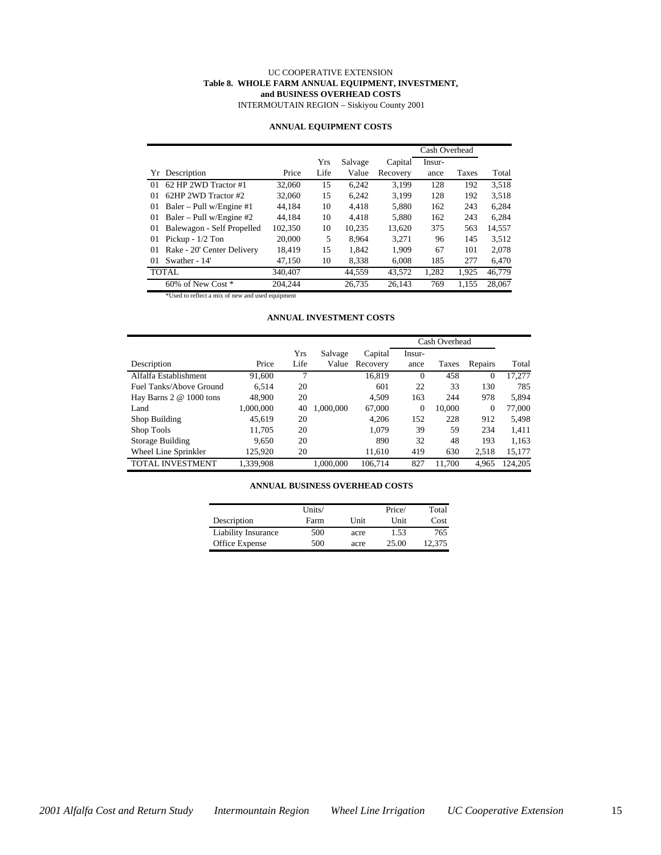#### UC COOPERATIVE EXTENSION **Table 8. WHOLE FARM ANNUAL EQUIPMENT, INVESTMENT, and BUSINESS OVERHEAD COSTS**

INTERMOUTAIN REGION – Siskiyou County 2001

#### **ANNUAL EQUIPMENT COSTS**

|                                  |         |      |         |          | Cash Overhead |       |        |
|----------------------------------|---------|------|---------|----------|---------------|-------|--------|
|                                  |         | Yrs  | Salvage | Capital  | Insur-        |       |        |
| Yr Description                   | Price   | Life | Value   | Recovery | ance          | Taxes | Total  |
| 62 HP 2WD Tractor #1<br>$\Omega$ | 32,060  | 15   | 6.242   | 3.199    | 128           | 192   | 3.518  |
| 62HP 2WD Tractor #2<br>01        | 32,060  | 15   | 6.242   | 3.199    | 128           | 192   | 3.518  |
| Baler – Pull w/Engine #1<br>01   | 44.184  | 10   | 4.418   | 5.880    | 162           | 243   | 6,284  |
| Baler – Pull w/Engine #2<br>01   | 44.184  | 10   | 4.418   | 5.880    | 162           | 243   | 6.284  |
| Balewagon - Self Propelled<br>01 | 102,350 | 10   | 10.235  | 13.620   | 375           | 563   | 14,557 |
| Pickup - $1/2$ Ton<br>01         | 20,000  | 5    | 8.964   | 3.271    | 96            | 145   | 3.512  |
| Rake - 20' Center Delivery<br>01 | 18.419  | 15   | 1.842   | 1.909    | 67            | 101   | 2.078  |
| Swather - 14'<br>$\Omega$        | 47.150  | 10   | 8.338   | 6.008    | 185           | 277   | 6,470  |
| <b>TOTAL</b>                     | 340,407 |      | 44.559  | 43.572   | 1,282         | 1.925 | 46.779 |
| 60% of New Cost *                | 204.244 |      | 26.735  | 26.143   | 769           | 1,155 | 28,067 |

\*Used to reflect a mix of new and used equipment

#### **ANNUAL INVESTMENT COSTS**

|                            |           |      |           |          |          | Cash Overhead |                |         |
|----------------------------|-----------|------|-----------|----------|----------|---------------|----------------|---------|
|                            |           | Yrs  | Salvage   | Capital  | Insur-   |               |                |         |
| Description                | Price     | Life | Value     | Recovery | ance     | Taxes         | Repairs        | Total   |
| Alfalfa Establishment      | 91,600    | 7    |           | 16,819   | $\Omega$ | 458           | $\mathbf{0}$   | 17,277  |
| Fuel Tanks/Above Ground    | 6.514     | 20   |           | 601      | 22       | 33            | 130            | 785     |
| Hay Barns $2 \& 1000$ tons | 48,900    | 20   |           | 4.509    | 163      | 244           | 978            | 5,894   |
| Land                       | 1,000,000 | 40   | 1.000.000 | 67,000   | $\theta$ | 10.000        | $\overline{0}$ | 77,000  |
| Shop Building              | 45.619    | 20   |           | 4.206    | 152      | 228           | 912            | 5,498   |
| Shop Tools                 | 11,705    | 20   |           | 1.079    | 39       | 59            | 234            | 1,411   |
| Storage Building           | 9.650     | 20   |           | 890      | 32       | 48            | 193            | 1,163   |
| Wheel Line Sprinkler       | 125,920   | 20   |           | 11,610   | 419      | 630           | 2,518          | 15,177  |
| TOTAL INVESTMENT           | 1.339.908 |      | 1.000.000 | 106.714  | 827      | 11.700        | 4.965          | 124.205 |

#### **ANNUAL BUSINESS OVERHEAD COSTS**

|                            | Units/ |      | Price/ | Total  |
|----------------------------|--------|------|--------|--------|
| Description                | Farm   | Unit | Unit   | Cost   |
| <b>Liability Insurance</b> | 500    | acre | 1.53   | 765    |
| Office Expense             | 500    | acre | 25.00  | 12.375 |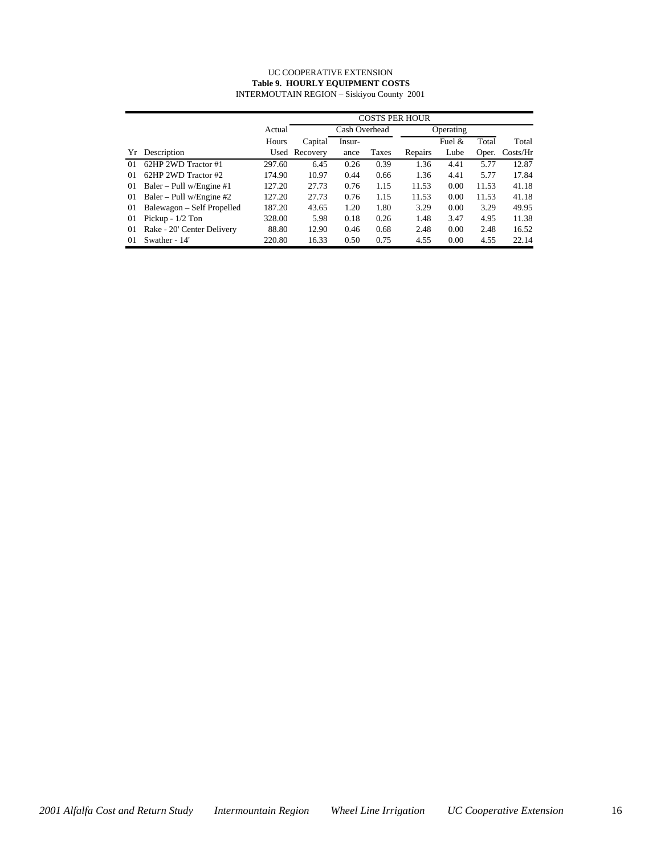#### UC COOPERATIVE EXTENSION **Table 9. HOURLY EQUIPMENT COSTS** INTERMOUTAIN REGION – Siskiyou County 2001

|    |                            |        | <b>COSTS PER HOUR</b> |               |       |         |           |       |                    |  |  |  |
|----|----------------------------|--------|-----------------------|---------------|-------|---------|-----------|-------|--------------------|--|--|--|
|    |                            | Actual |                       | Cash Overhead |       |         | Operating |       |                    |  |  |  |
|    |                            | Hours  | Capital               | Insur-        |       |         | Fuel &    | Total | Total              |  |  |  |
| Yr | Description                |        | Used Recovery         | ance          | Taxes | Repairs | Lube      | Oper. | $\frac{Costs}{Hr}$ |  |  |  |
| 01 | 62HP 2WD Tractor #1        | 297.60 | 6.45                  | 0.26          | 0.39  | 1.36    | 4.41      | 5.77  | 12.87              |  |  |  |
| 01 | 62HP 2WD Tractor #2        | 174.90 | 10.97                 | 0.44          | 0.66  | 1.36    | 4.41      | 5.77  | 17.84              |  |  |  |
| 01 | Baler – Pull w/Engine $#1$ | 127.20 | 27.73                 | 0.76          | 1.15  | 11.53   | 0.00      | 11.53 | 41.18              |  |  |  |
| 01 | Baler – Pull w/Engine $#2$ | 127.20 | 27.73                 | 0.76          | 1.15  | 11.53   | 0.00      | 11.53 | 41.18              |  |  |  |
| 01 | Balewagon – Self Propelled | 187.20 | 43.65                 | 1.20          | 1.80  | 3.29    | 0.00      | 3.29  | 49.95              |  |  |  |
| 01 | Pickup - $1/2$ Ton         | 328.00 | 5.98                  | 0.18          | 0.26  | 1.48    | 3.47      | 4.95  | 11.38              |  |  |  |
| 01 | Rake - 20' Center Delivery | 88.80  | 12.90                 | 0.46          | 0.68  | 2.48    | 0.00      | 2.48  | 16.52              |  |  |  |
| 01 | Swather - 14'              | 220.80 | 16.33                 | 0.50          | 0.75  | 4.55    | 0.00      | 4.55  | 22.14              |  |  |  |